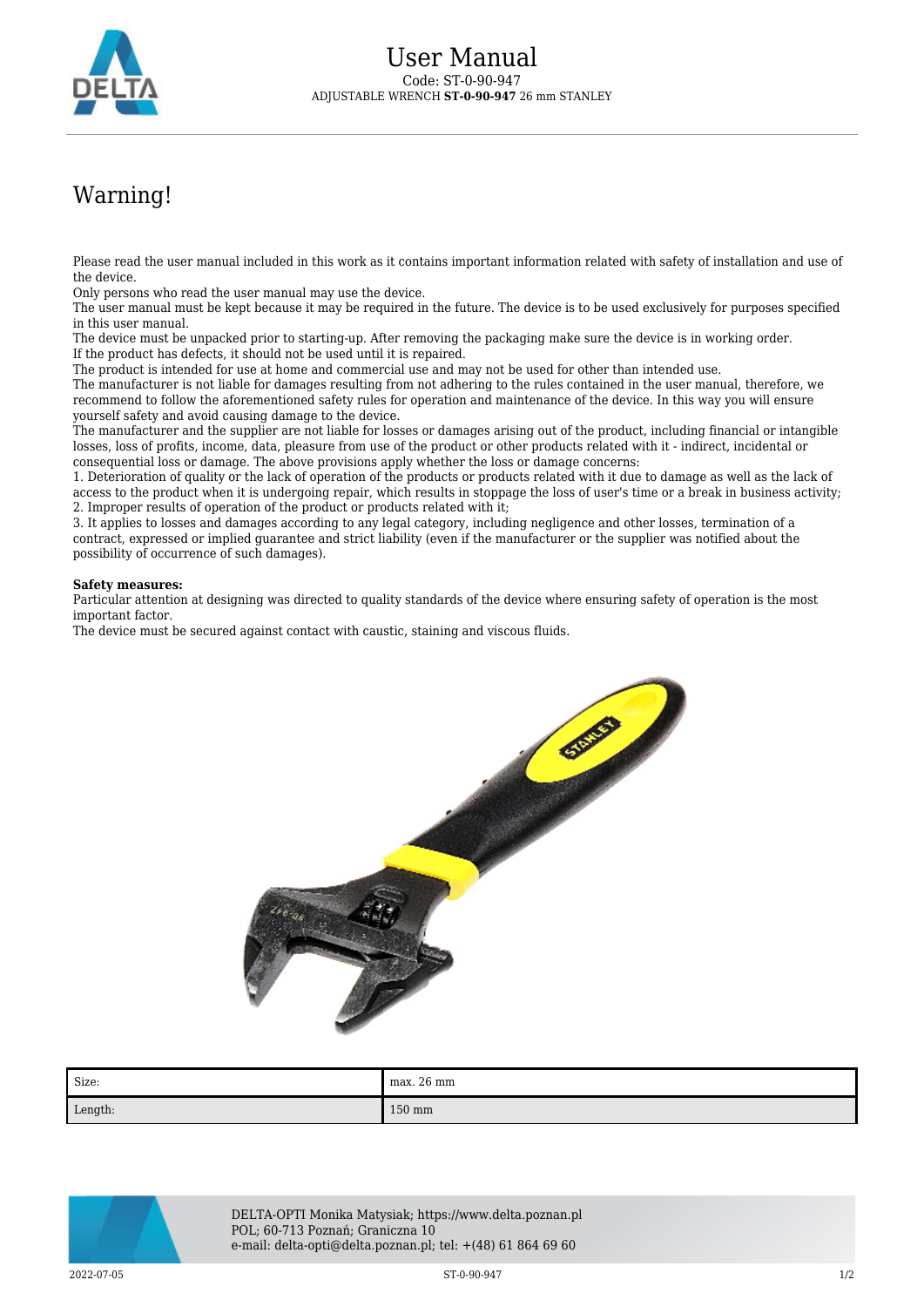

## Warning!

Please read the user manual included in this work as it contains important information related with safety of installation and use of the device.

Only persons who read the user manual may use the device.

The user manual must be kept because it may be required in the future. The device is to be used exclusively for purposes specified in this user manual.

The device must be unpacked prior to starting-up. After removing the packaging make sure the device is in working order. If the product has defects, it should not be used until it is repaired.

The product is intended for use at home and commercial use and may not be used for other than intended use.

The manufacturer is not liable for damages resulting from not adhering to the rules contained in the user manual, therefore, we recommend to follow the aforementioned safety rules for operation and maintenance of the device. In this way you will ensure yourself safety and avoid causing damage to the device.

The manufacturer and the supplier are not liable for losses or damages arising out of the product, including financial or intangible losses, loss of profits, income, data, pleasure from use of the product or other products related with it - indirect, incidental or consequential loss or damage. The above provisions apply whether the loss or damage concerns:

1. Deterioration of quality or the lack of operation of the products or products related with it due to damage as well as the lack of access to the product when it is undergoing repair, which results in stoppage the loss of user's time or a break in business activity; 2. Improper results of operation of the product or products related with it;

3. It applies to losses and damages according to any legal category, including negligence and other losses, termination of a contract, expressed or implied guarantee and strict liability (even if the manufacturer or the supplier was notified about the possibility of occurrence of such damages).

## **Safety measures:**

Particular attention at designing was directed to quality standards of the device where ensuring safety of operation is the most important factor.

The device must be secured against contact with caustic, staining and viscous fluids.



| Size:   | max. 26 mm |
|---------|------------|
| Length: | 150 mm     |



DELTA-OPTI Monika Matysiak; https://www.delta.poznan.pl POL; 60-713 Poznań; Graniczna 10 e-mail: delta-opti@delta.poznan.pl; tel: +(48) 61 864 69 60